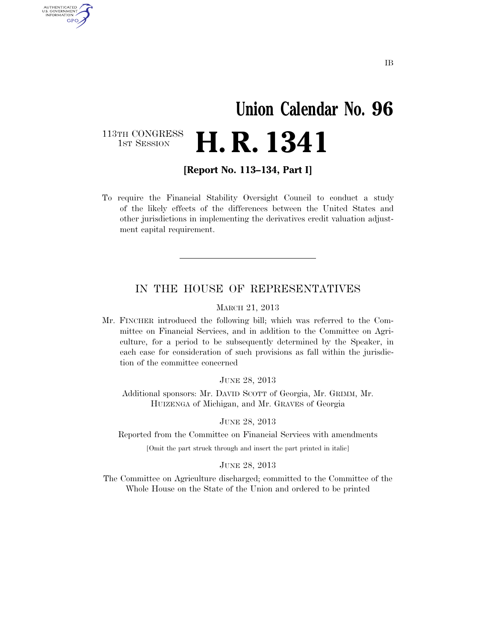## **Union Calendar No. 96 H. R. 1341**

113TH CONGRESS<br>1st Session

AUTHENTICATED U.S. GOVERNMENT GPO

**[Report No. 113–134, Part I]** 

To require the Financial Stability Oversight Council to conduct a study of the likely effects of the differences between the United States and other jurisdictions in implementing the derivatives credit valuation adjustment capital requirement.

## IN THE HOUSE OF REPRESENTATIVES

MARCH 21, 2013

Mr. FINCHER introduced the following bill; which was referred to the Committee on Financial Services, and in addition to the Committee on Agriculture, for a period to be subsequently determined by the Speaker, in each case for consideration of such provisions as fall within the jurisdiction of the committee concerned

JUNE 28, 2013

Additional sponsors: Mr. DAVID SCOTT of Georgia, Mr. GRIMM, Mr. HUIZENGA of Michigan, and Mr. GRAVES of Georgia

JUNE 28, 2013

Reported from the Committee on Financial Services with amendments

[Omit the part struck through and insert the part printed in italic]

JUNE 28, 2013

The Committee on Agriculture discharged; committed to the Committee of the Whole House on the State of the Union and ordered to be printed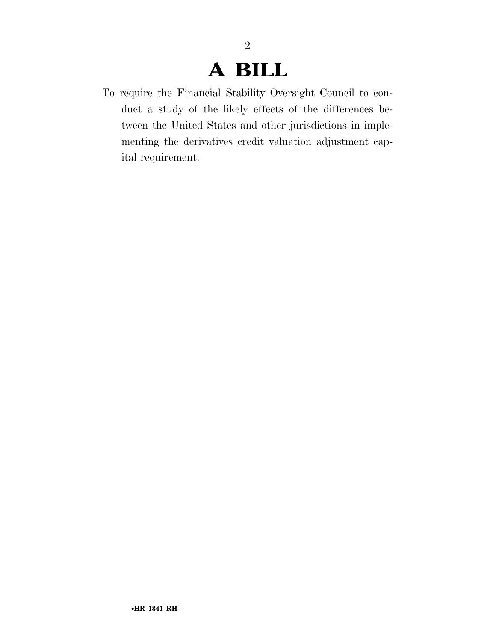## **A BILL**

2

To require the Financial Stability Oversight Council to conduct a study of the likely effects of the differences between the United States and other jurisdictions in implementing the derivatives credit valuation adjustment capital requirement.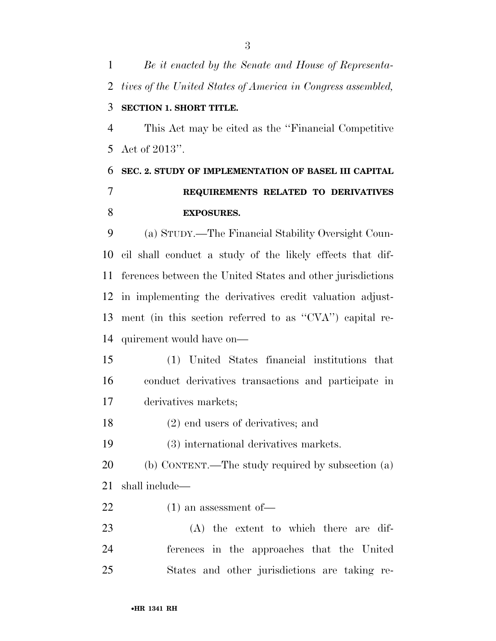*Be it enacted by the Senate and House of Representa- tives of the United States of America in Congress assembled,*  **SECTION 1. SHORT TITLE.**  This Act may be cited as the ''Financial Competitive Act of 2013''. **SEC. 2. STUDY OF IMPLEMENTATION OF BASEL III CAPITAL REQUIREMENTS RELATED TO DERIVATIVES EXPOSURES.**  (a) STUDY.—The Financial Stability Oversight Coun-cil shall conduct a study of the likely effects that dif-

ferences between the United States and other jurisdictions

in implementing the derivatives credit valuation adjust-

ment (in this section referred to as ''CVA'') capital re-

(1) United States financial institutions that

conduct derivatives transactions and participate in

•**HR 1341 RH**

- (2) end users of derivatives; and
- (3) international derivatives markets.
- (b) CONTENT.—The study required by subsection (a) shall include—
- (1) an assessment of—

quirement would have on—

derivatives markets;

 (A) the extent to which there are dif- ferences in the approaches that the United States and other jurisdictions are taking re-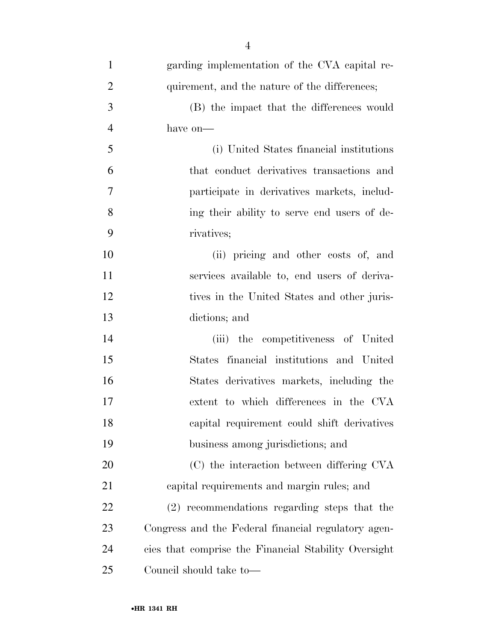| $\mathbf{1}$   | garding implementation of the CVA capital re-        |
|----------------|------------------------------------------------------|
| $\overline{2}$ | quirement, and the nature of the differences;        |
| 3              | (B) the impact that the differences would            |
| $\overline{4}$ | have on-                                             |
| 5              | (i) United States financial institutions             |
| 6              | that conduct derivatives transactions and            |
| 7              | participate in derivatives markets, includ-          |
| 8              | ing their ability to serve end users of de-          |
| 9              | rivatives;                                           |
| 10             | (ii) pricing and other costs of, and                 |
| 11             | services available to, end users of deriva-          |
| 12             | tives in the United States and other juris-          |
| 13             | dictions; and                                        |
| 14             | (iii) the competitiveness of United                  |
| 15             | States financial institutions and United             |
| 16             | States derivatives markets, including the            |
| 17             | extent to which differences in the CVA               |
| 18             | capital requirement could shift derivatives          |
| 19             | business among jurisdictions; and                    |
| 20             | (C) the interaction between differing CVA            |
| 21             | capital requirements and margin rules; and           |
| 22             | (2) recommendations regarding steps that the         |
| 23             | Congress and the Federal financial regulatory agen-  |
| 24             | cies that comprise the Financial Stability Oversight |
| 25             | Council should take to-                              |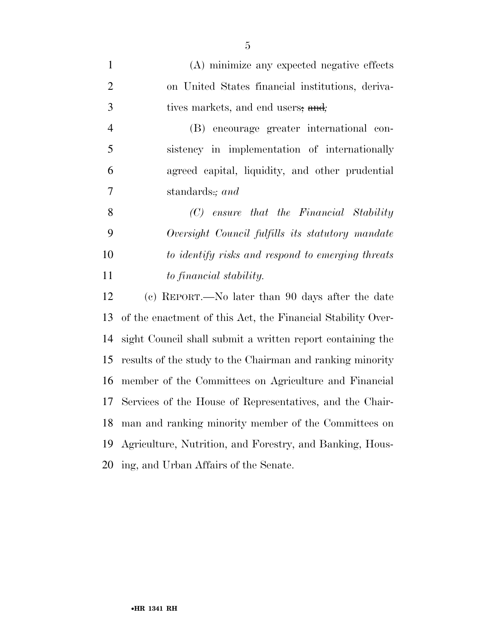| $\mathbf{1}$   | (A) minimize any expected negative effects                  |
|----------------|-------------------------------------------------------------|
| $\overline{2}$ | on United States financial institutions, deriva-            |
| $\mathfrak{Z}$ | tives markets, and end users, and;                          |
| $\overline{4}$ | encourage greater international con-<br>(B)                 |
| 5              | sistency in implementation of internationally               |
| 6              | agreed capital, liquidity, and other prudential             |
| 7              | standards.; and                                             |
| 8              | $(C)$ ensure that the Financial Stability                   |
| 9              | Oversight Council fulfills its statutory mandate            |
| 10             | to identify risks and respond to emerging threats           |
| 11             | to financial stability.                                     |
| 12             | (c) REPORT.—No later than 90 days after the date            |
| 13             | of the enactment of this Act, the Financial Stability Over- |
| 14             | sight Council shall submit a written report containing the  |
| 15             | results of the study to the Chairman and ranking minority   |
| 16             | member of the Committees on Agriculture and Financial       |
| 17             | Services of the House of Representatives, and the Chair-    |
| 18             | man and ranking minority member of the Committees on        |
| 19             | Agriculture, Nutrition, and Forestry, and Banking, Hous-    |
| 20             | ing, and Urban Affairs of the Senate.                       |